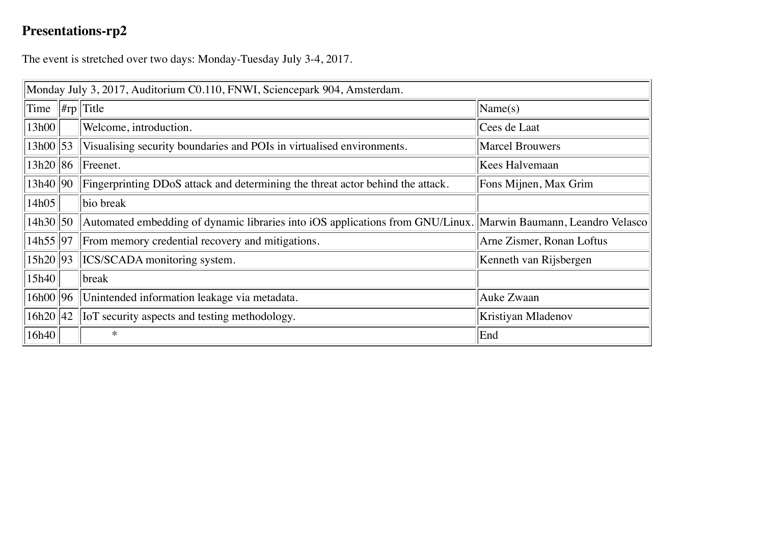## **Presentations-rp2**

The event is stretched over two days: Monday-Tuesday July 3-4, 2017.

| Monday July 3, 2017, Auditorium C0.110, FNWI, Sciencepark 904, Amsterdam. |  |                                                                                                                |                           |  |
|---------------------------------------------------------------------------|--|----------------------------------------------------------------------------------------------------------------|---------------------------|--|
| Time                                                                      |  | $ $ #rp Title                                                                                                  | $\text{Name}(s)$          |  |
| 13h00                                                                     |  | Welcome, introduction.                                                                                         | Cees de Laat              |  |
| 13h00 53                                                                  |  | Visualising security boundaries and POIs in virtualised environments.                                          | <b>Marcel Brouwers</b>    |  |
| 13h20 86                                                                  |  | Freenet.                                                                                                       | Kees Halvemaan            |  |
| 13h40  90                                                                 |  | Fingerprinting DDoS attack and determining the threat actor behind the attack.                                 | Fons Mijnen, Max Grim     |  |
| 14h05                                                                     |  | bio break                                                                                                      |                           |  |
| 14h30 50                                                                  |  | Automated embedding of dynamic libraries into iOS applications from GNU/Linux. Marwin Baumann, Leandro Velasco |                           |  |
| 14h55   97                                                                |  | From memory credential recovery and mitigations.                                                               | Arne Zismer, Ronan Loftus |  |
| 15h20   93                                                                |  | <b>ICS/SCADA</b> monitoring system.                                                                            | Kenneth van Rijsbergen    |  |
| 15h40                                                                     |  | break                                                                                                          |                           |  |
| 16h00 96                                                                  |  | Unintended information leakage via metadata.                                                                   | Auke Zwaan                |  |
| 16h20 42                                                                  |  | <b>I</b> IoT security aspects and testing methodology.                                                         | Kristiyan Mladenov        |  |
| 16h40                                                                     |  | $\ast$                                                                                                         | End                       |  |